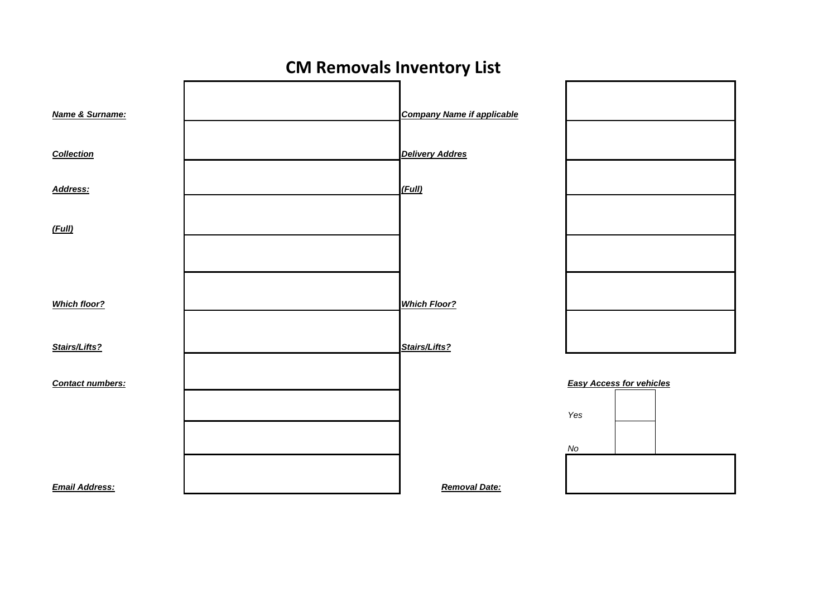

## **CM Removals Inventory List**



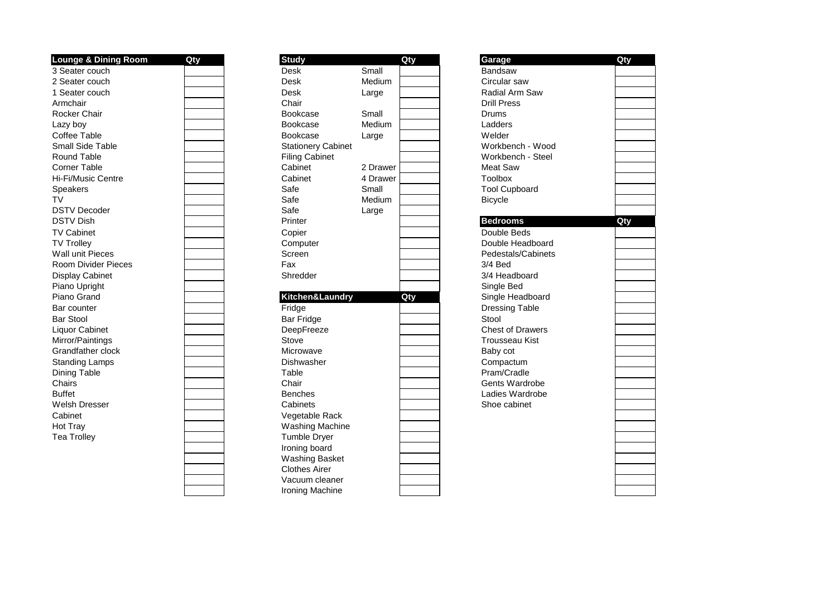| <b>Lounge &amp; Dining Room</b> | Qty | <b>Study</b>              |          | Qty | Garage                  | Qty |
|---------------------------------|-----|---------------------------|----------|-----|-------------------------|-----|
| 3 Seater couch                  |     | <b>Desk</b>               | Small    |     | Bandsaw                 |     |
| 2 Seater couch                  |     | <b>Desk</b>               | Medium   |     | Circular saw            |     |
| 1 Seater couch                  |     | <b>Desk</b>               | Large    |     | Radial Arm Saw          |     |
| Armchair                        |     | Chair                     |          |     | <b>Drill Press</b>      |     |
| Rocker Chair                    |     | <b>Bookcase</b>           | Small    |     | Drums                   |     |
| Lazy boy                        |     | Bookcase                  | Medium   |     | Ladders                 |     |
| Coffee Table                    |     | Bookcase                  | Large    |     | Welder                  |     |
| <b>Small Side Table</b>         |     | <b>Stationery Cabinet</b> |          |     | Workbench - Wood        |     |
| <b>Round Table</b>              |     | <b>Filing Cabinet</b>     |          |     | Workbench - Steel       |     |
| <b>Corner Table</b>             |     | Cabinet                   | 2 Drawer |     | <b>Meat Saw</b>         |     |
| Hi-Fi/Music Centre              |     | Cabinet                   | 4 Drawer |     | <b>Toolbox</b>          |     |
| Speakers                        |     | Safe                      | Small    |     | <b>Tool Cupboard</b>    |     |
| TV                              |     | Safe                      | Medium   |     | <b>Bicycle</b>          |     |
| <b>DSTV Decoder</b>             |     | Safe                      | Large    |     |                         |     |
| <b>DSTV Dish</b>                |     | Printer                   |          |     | <b>Bedrooms</b>         | Qty |
| <b>TV Cabinet</b>               |     | Copier                    |          |     | Double Beds             |     |
| <b>TV Trollev</b>               |     | Computer                  |          |     | Double Headboard        |     |
| <b>Wall unit Pieces</b>         |     | Screen                    |          |     | Pedestals/Cabinets      |     |
| <b>Room Divider Pieces</b>      |     | Fax                       |          |     | $3/4$ Bed               |     |
| Display Cabinet                 |     | Shredder                  |          |     | 3/4 Headboard           |     |
| Piano Upright                   |     |                           |          |     | Single Bed              |     |
| Piano Grand                     |     | Kitchen&Laundry           |          | Qty | Single Headboard        |     |
| Bar counter                     |     | Fridge                    |          |     | <b>Dressing Table</b>   |     |
| <b>Bar Stool</b>                |     | <b>Bar Fridge</b>         |          |     | Stool                   |     |
| Liquor Cabinet                  |     | DeepFreeze                |          |     | <b>Chest of Drawers</b> |     |
| Mirror/Paintings                |     | Stove                     |          |     | <b>Trousseau Kist</b>   |     |
| <b>Grandfather clock</b>        |     | Microwave                 |          |     | Baby cot                |     |
| <b>Standing Lamps</b>           |     | Dishwasher                |          |     | Compactum               |     |
| <b>Dining Table</b>             |     | Table                     |          |     | Pram/Cradle             |     |
| Chairs                          |     | Chair                     |          |     | <b>Gents Wardrobe</b>   |     |
| <b>Buffet</b>                   |     | <b>Benches</b>            |          |     | Ladies Wardrobe         |     |
| <b>Welsh Dresser</b>            |     | Cabinets                  |          |     | Shoe cabinet            |     |
| Cabinet                         |     | Vegetable Rack            |          |     |                         |     |
| Hot Tray                        |     | <b>Washing Machine</b>    |          |     |                         |     |
| <b>Tea Trolley</b>              |     | Tumble Dryer              |          |     |                         |     |
|                                 |     | Ironing board             |          |     |                         |     |
|                                 |     | <b>Washing Basket</b>     |          |     |                         |     |

| <b>Study</b>              | Small    | Qty |
|---------------------------|----------|-----|
| Desk<br>Desk              | Medium   |     |
| Desk                      | Large    |     |
| Chair                     |          |     |
| Bookcase                  | Small    |     |
| Bookcase                  | Medium   |     |
| Bookcase                  | Large    |     |
| <b>Stationery Cabinet</b> |          |     |
| <b>Filing Cabinet</b>     |          |     |
| Cabinet                   | 2 Drawer |     |
| Cabinet                   | 4 Drawer |     |
| Safe                      | Small    |     |
| Safe                      | Medium   |     |
| Safe                      | Large    |     |
| Printer                   |          |     |
| Copier                    |          |     |
| Computer                  |          |     |
| Screen                    |          |     |
| Fax                       |          |     |
| Shredder                  |          |     |
|                           |          |     |
| Kitchen&Laundry           |          | Qty |
| Fridge                    |          |     |
| <b>Bar Fridge</b>         |          |     |
| DeepFreeze                |          |     |
| Stove                     |          |     |
| Microwave                 |          |     |
| Dishwasher                |          |     |
| Table                     |          |     |
| Chair                     |          |     |
| <b>Benches</b>            |          |     |
| Cabinets                  |          |     |
| Vegetable Rack            |          |     |
| <b>Washing Machine</b>    |          |     |
| <b>Tumble Dryer</b>       |          |     |
| Ironing board             |          |     |
| <b>Washing Basket</b>     |          |     |
| <b>Clothes Airer</b>      |          |     |
| Vacuum cleaner            |          |     |
| Ironing Machine           |          |     |

| Garage                          | Qty |
|---------------------------------|-----|
| Bandsaw                         |     |
| Circular saw                    |     |
| Radial Arm Saw                  |     |
| <b>Drill Press</b>              |     |
| Drums                           |     |
| Ladders                         |     |
| Welder                          |     |
| Workbench - Wood                |     |
| Workbench - Steel               |     |
| <b>Meat Saw</b>                 |     |
| Toolbox                         |     |
| <b>Tool Cupboard</b>            |     |
| <b>Bicycle</b>                  |     |
|                                 |     |
| <b>Bedrooms</b>                 | Qty |
| Double Beds                     |     |
| Double Headboard                |     |
| Pedestals/Cabinets              |     |
| 3/4 Bed                         |     |
| 3/4 Headboard                   |     |
| Single Bed                      |     |
| Single Headboard                |     |
| <b>Dressing Table</b>           |     |
| Stool                           |     |
| <b>Chest of Drawers</b>         |     |
| <b>Trousseau Kist</b>           |     |
| Baby cot                        |     |
| Compactum                       |     |
| Pram/Cradle                     |     |
| Gents Wardrobe                  |     |
| Ladies Wardrobe<br>Shoe cabinet |     |
|                                 |     |
|                                 |     |
|                                 |     |
|                                 |     |
|                                 |     |
|                                 |     |
|                                 |     |
|                                 |     |
|                                 |     |